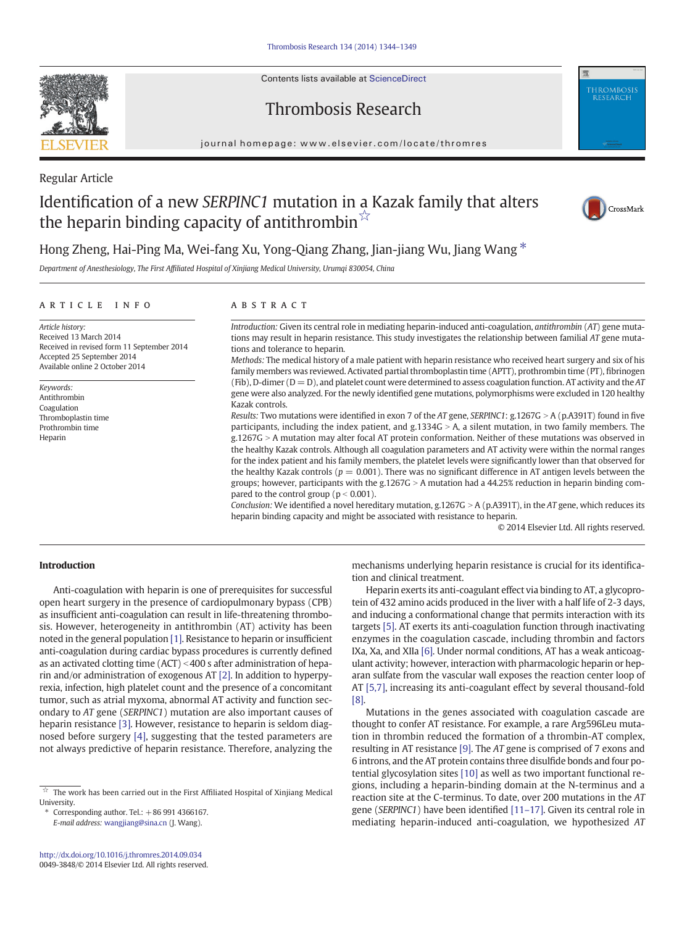Contents lists available at ScienceDirect



# Thrombosis Research



#### journal homepage: www.elsevier.com/locate/thromres

Regular Article

# Identification of a new SERPINC1 mutation in a Kazak family that alters the heparin binding capacity of antithrombin $\vec{r}$



Hong Zheng, Hai-Ping Ma, Wei-fang Xu, Yong-Qiang Zhang, Jian-jiang Wu, Jiang Wang  $*$ 

Department of Anesthesiology, The First Affiliated Hospital of Xinjiang Medical University, Urumqi 830054, China

## ARTICLE INFO ABSTRACT

Article history: Received 13 March 2014 Received in revised form 11 September 2014 Accepted 25 September 2014 Available online 2 October 2014

Keywords: Antithrombin Coagulation Thromboplastin time Prothrombin time Heparin

Introduction: Given its central role in mediating heparin-induced anti-coagulation, antithrombin (AT) gene mutations may result in heparin resistance. This study investigates the relationship between familial AT gene mutations and tolerance to heparin.

Methods: The medical history of a male patient with heparin resistance who received heart surgery and six of his family members was reviewed. Activated partial thromboplastin time (APTT), prothrombin time (PT), fibrinogen (Fib), D-dimer ( $D = D$ ), and platelet count were determined to assess coagulation function. AT activity and the AT gene were also analyzed. For the newly identified gene mutations, polymorphisms were excluded in 120 healthy Kazak controls.

Results: Two mutations were identified in exon 7 of the AT gene, SERPINC1: g.1267G > A (p.A391T) found in five participants, including the index patient, and g.1334G > A, a silent mutation, in two family members. The g.1267G > A mutation may alter focal AT protein conformation. Neither of these mutations was observed in the healthy Kazak controls. Although all coagulation parameters and AT activity were within the normal ranges for the index patient and his family members, the platelet levels were significantly lower than that observed for the healthy Kazak controls ( $p = 0.001$ ). There was no significant difference in AT antigen levels between the groups; however, participants with the g.1267G > A mutation had a  $44.25\%$  reduction in heparin binding compared to the control group ( $p < 0.001$ ).

Conclusion: We identified a novel hereditary mutation, g.1267G > A (p.A391T), in the AT gene, which reduces its heparin binding capacity and might be associated with resistance to heparin.

© 2014 Elsevier Ltd. All rights reserved.

# Introduction

Anti-coagulation with heparin is one of prerequisites for successful open heart surgery in the presence of cardiopulmonary bypass (CPB) as insufficient anti-coagulation can result in life-threatening thrombosis. However, heterogeneity in antithrombin (AT) activity has been noted in the general population [\[1\].](#page-4-0) Resistance to heparin or insufficient anti-coagulation during cardiac bypass procedures is currently defined as an activated clotting time  $(ACT) < 400$  s after administration of heparin and/or administration of exogenous AT [\[2\].](#page-4-0) In addition to hyperpyrexia, infection, high platelet count and the presence of a concomitant tumor, such as atrial myxoma, abnormal AT activity and function secondary to AT gene (SERPINC1) mutation are also important causes of heparin resistance [\[3\].](#page-4-0) However, resistance to heparin is seldom diagnosed before surgery [\[4\]](#page-4-0), suggesting that the tested parameters are not always predictive of heparin resistance. Therefore, analyzing the

⁎ Corresponding author. Tel.: +86 991 4366167.

E-mail address: [wangjiang@sina.cn](mailto:wangjiang@sina.cn) (J. Wang).

mechanisms underlying heparin resistance is crucial for its identification and clinical treatment.

Heparin exerts its anti-coagulant effect via binding to AT, a glycoprotein of 432 amino acids produced in the liver with a half life of 2-3 days, and inducing a conformational change that permits interaction with its targets [\[5\]](#page-4-0). AT exerts its anti-coagulation function through inactivating enzymes in the coagulation cascade, including thrombin and factors IXa, Xa, and XIIa [\[6\].](#page-4-0) Under normal conditions, AT has a weak anticoagulant activity; however, interaction with pharmacologic heparin or heparan sulfate from the vascular wall exposes the reaction center loop of AT [\[5,7\]](#page-4-0), increasing its anti-coagulant effect by several thousand-fold [\[8\].](#page-4-0)

Mutations in the genes associated with coagulation cascade are thought to confer AT resistance. For example, a rare Arg596Leu mutation in thrombin reduced the formation of a thrombin-AT complex, resulting in AT resistance [\[9\].](#page-4-0) The AT gene is comprised of 7 exons and 6 introns, and the AT protein contains three disulfide bonds and four potential glycosylation sites [\[10\]](#page-4-0) as well as two important functional regions, including a heparin-binding domain at the N-terminus and a reaction site at the C-terminus. To date, over 200 mutations in the AT gene (SERPINC1) have been identified [11–[17\].](#page-4-0) Given its central role in mediating heparin-induced anti-coagulation, we hypothesized AT

 $\mathring{\pi}$  The work has been carried out in the First Affiliated Hospital of Xinjiang Medical University.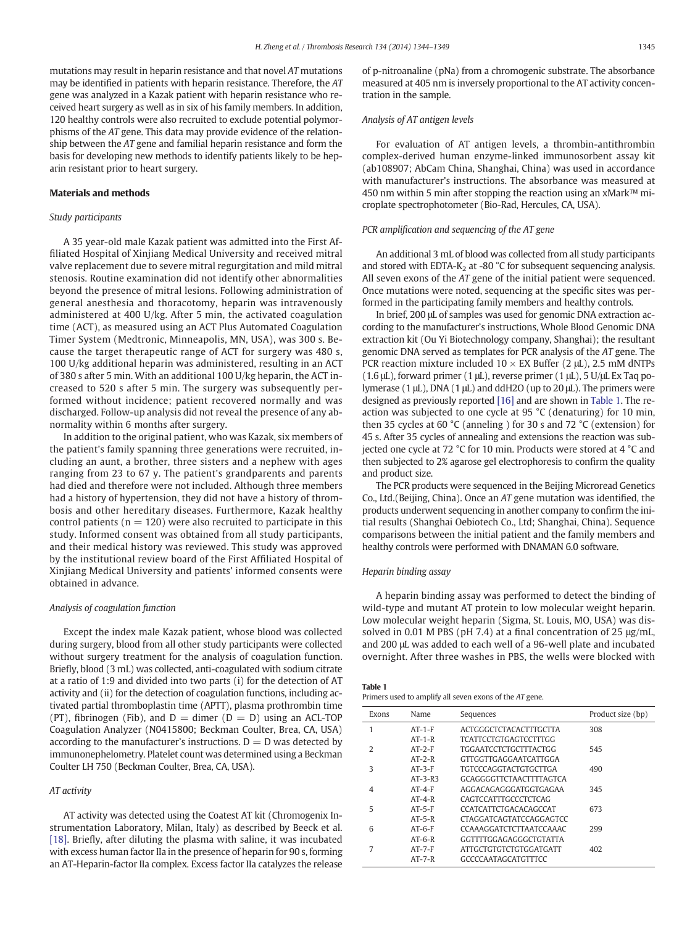mutations may result in heparin resistance and that novel AT mutations may be identified in patients with heparin resistance. Therefore, the AT gene was analyzed in a Kazak patient with heparin resistance who received heart surgery as well as in six of his family members. In addition, 120 healthy controls were also recruited to exclude potential polymorphisms of the AT gene. This data may provide evidence of the relationship between the AT gene and familial heparin resistance and form the basis for developing new methods to identify patients likely to be heparin resistant prior to heart surgery.

#### Materials and methods

### Study participants

A 35 year-old male Kazak patient was admitted into the First Affiliated Hospital of Xinjiang Medical University and received mitral valve replacement due to severe mitral regurgitation and mild mitral stenosis. Routine examination did not identify other abnormalities beyond the presence of mitral lesions. Following administration of general anesthesia and thoracotomy, heparin was intravenously administered at 400 U/kg. After 5 min, the activated coagulation time (ACT), as measured using an ACT Plus Automated Coagulation Timer System (Medtronic, Minneapolis, MN, USA), was 300 s. Because the target therapeutic range of ACT for surgery was 480 s, 100 U/kg additional heparin was administered, resulting in an ACT of 380 s after 5 min. With an additional 100 U/kg heparin, the ACT increased to 520 s after 5 min. The surgery was subsequently performed without incidence; patient recovered normally and was discharged. Follow-up analysis did not reveal the presence of any abnormality within 6 months after surgery.

In addition to the original patient, who was Kazak, six members of the patient's family spanning three generations were recruited, including an aunt, a brother, three sisters and a nephew with ages ranging from 23 to 67 y. The patient's grandparents and parents had died and therefore were not included. Although three members had a history of hypertension, they did not have a history of thrombosis and other hereditary diseases. Furthermore, Kazak healthy control patients ( $n = 120$ ) were also recruited to participate in this study. Informed consent was obtained from all study participants, and their medical history was reviewed. This study was approved by the institutional review board of the First Affiliated Hospital of Xinjiang Medical University and patients' informed consents were obtained in advance.

#### Analysis of coagulation function

Except the index male Kazak patient, whose blood was collected during surgery, blood from all other study participants were collected without surgery treatment for the analysis of coagulation function. Briefly, blood (3 mL) was collected, anti-coagulated with sodium citrate at a ratio of 1:9 and divided into two parts (i) for the detection of AT activity and (ii) for the detection of coagulation functions, including activated partial thromboplastin time (APTT), plasma prothrombin time (PT), fibrinogen (Fib), and  $D =$  dimer ( $D = D$ ) using an ACL-TOP Coagulation Analyzer (N0415800; Beckman Coulter, Brea, CA, USA) according to the manufacturer's instructions.  $D = D$  was detected by immunonephelometry. Platelet count was determined using a Beckman Coulter LH 750 (Beckman Coulter, Brea, CA, USA).

#### AT activity

AT activity was detected using the Coatest AT kit (Chromogenix Instrumentation Laboratory, Milan, Italy) as described by Beeck et al. [\[18\]](#page-4-0). Briefly, after diluting the plasma with saline, it was incubated with excess human factor IIa in the presence of heparin for 90 s, forming an AT-Heparin-factor IIa complex. Excess factor IIa catalyzes the release of p-nitroanaline (pNa) from a chromogenic substrate. The absorbance measured at 405 nm is inversely proportional to the AT activity concentration in the sample.

#### Analysis of AT antigen levels

For evaluation of AT antigen levels, a thrombin-antithrombin complex-derived human enzyme-linked immunosorbent assay kit (ab108907; AbCam China, Shanghai, China) was used in accordance with manufacturer's instructions. The absorbance was measured at 450 nm within 5 min after stopping the reaction using an xMark™ microplate spectrophotometer (Bio-Rad, Hercules, CA, USA).

#### PCR amplification and sequencing of the AT gene

An additional 3 mL of blood was collected from all study participants and stored with EDTA-K<sub>2</sub> at -80  $^{\circ}$ C for subsequent sequencing analysis. All seven exons of the AT gene of the initial patient were sequenced. Once mutations were noted, sequencing at the specific sites was performed in the participating family members and healthy controls.

In brief, 200 μL of samples was used for genomic DNA extraction according to the manufacturer's instructions, Whole Blood Genomic DNA extraction kit (Ou Yi Biotechnology company, Shanghai); the resultant genomic DNA served as templates for PCR analysis of the AT gene. The PCR reaction mixture included  $10 \times EX$  Buffer (2  $\mu$ L), 2.5 mM dNTPs (1.6 μL), forward primer (1 μL), reverse primer (1 μL), 5 U/μL Ex Taq polymerase (1 μL), DNA (1 μL) and ddH2O (up to 20 μL). The primers were designed as previously reported [\[16\]](#page-4-0) and are shown in Table 1. The reaction was subjected to one cycle at 95 °C (denaturing) for 10 min, then 35 cycles at 60 °C (anneling ) for 30 s and 72 °C (extension) for 45 s. After 35 cycles of annealing and extensions the reaction was subjected one cycle at 72 °C for 10 min. Products were stored at 4 °C and then subjected to 2% agarose gel electrophoresis to confirm the quality and product size.

The PCR products were sequenced in the Beijing Microread Genetics Co., Ltd.(Beijing, China). Once an AT gene mutation was identified, the products underwent sequencing in another company to confirm the initial results (Shanghai Oebiotech Co., Ltd; Shanghai, China). Sequence comparisons between the initial patient and the family members and healthy controls were performed with DNAMAN 6.0 software.

#### Heparin binding assay

A heparin binding assay was performed to detect the binding of wild-type and mutant AT protein to low molecular weight heparin. Low molecular weight heparin (Sigma, St. Louis, MO, USA) was dissolved in 0.01 M PBS (pH 7.4) at a final concentration of 25 μg/mL, and 200 μL was added to each well of a 96-well plate and incubated overnight. After three washes in PBS, the wells were blocked with

#### Table 1

Primers used to amplify all seven exons of the AT gene.

| Exons         | Name         | Sequences                  | Product size (bp) |
|---------------|--------------|----------------------------|-------------------|
| 1             | $AT-1-F$     | ACTGGGCTCTACACTTTGCTTA     | 308               |
|               | $AT-1-R$     | TCATTCCTGTGAGTCCTTTGG      |                   |
| $\mathcal{L}$ | $AT-2-F$     | TGGAATCCTCTGCTTTACTGG      | 545               |
|               | $AT-2-R$     | GTTGGTTGAGGAATCATTGGA      |                   |
| 3             | $AT-3-F$     | TGTCCCAGGTACTGTGCTTGA      | 490               |
|               | $AT-3-R3$    | GCAGGGGTTCTAACTTTTAGTCA    |                   |
| 4             | $AT-A-F$     | AGGACAGAGGGATGGTGAGAA      | 345               |
|               | $AT-4-R$     | CAGTCCATTTGCCCTCTCAG       |                   |
| 5             | $AT-5-F$     | CCATCATTCTGACACAGCCAT      | 673               |
|               | $AT-5-R$     | CTAGGATCAGTATCCAGGAGTCC    |                   |
| 6             | $AT-6-F$     | CCAAAGGATCTCTTAATCCAAAC    | 299               |
|               | $AT-6-R$     | GGTTTTGGAGAGGGCTGTATTA     |                   |
| 7             | $AT - 7 - F$ | ATTGCTGTGTCTGTGGATGATT     | 402               |
|               | $AT - 7 - R$ | <b>GCCCCAATAGCATGTTTCC</b> |                   |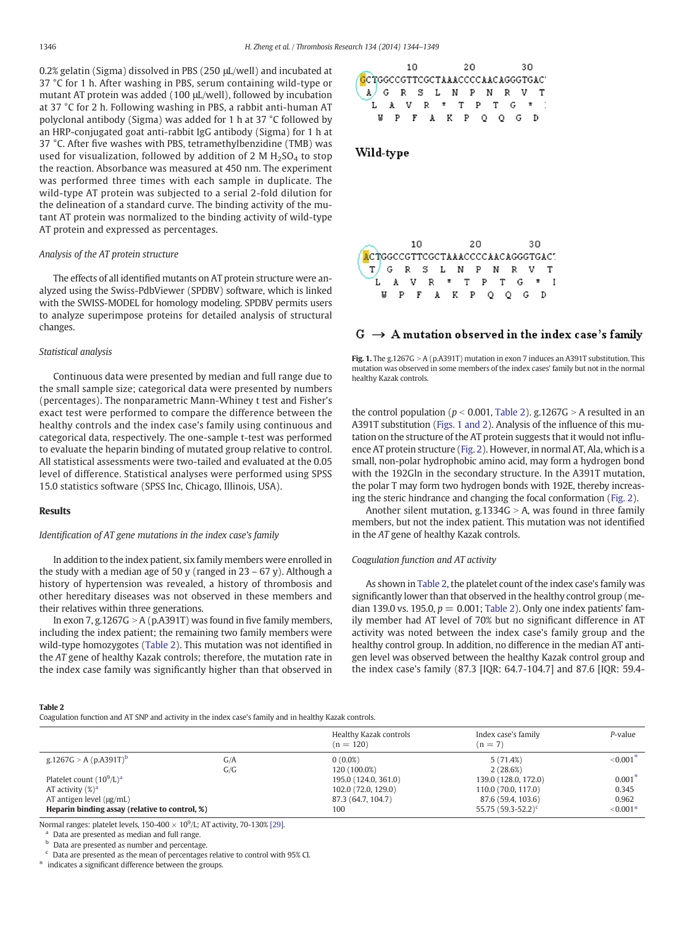0.2% gelatin (Sigma) dissolved in PBS (250 μL/well) and incubated at 37 °C for 1 h. After washing in PBS, serum containing wild-type or mutant AT protein was added (100 μL/well), followed by incubation at 37 °C for 2 h. Following washing in PBS, a rabbit anti-human AT polyclonal antibody (Sigma) was added for 1 h at 37 °C followed by an HRP-conjugated goat anti-rabbit IgG antibody (Sigma) for 1 h at 37 °C. After five washes with PBS, tetramethylbenzidine (TMB) was used for visualization, followed by addition of 2 M  $H_2SO_4$  to stop the reaction. Absorbance was measured at 450 nm. The experiment was performed three times with each sample in duplicate. The wild-type AT protein was subjected to a serial 2-fold dilution for the delineation of a standard curve. The binding activity of the mutant AT protein was normalized to the binding activity of wild-type AT protein and expressed as percentages.

#### Analysis of the AT protein structure

The effects of all identified mutants on AT protein structure were analyzed using the Swiss-PdbViewer (SPDBV) software, which is linked with the SWISS-MODEL for homology modeling. SPDBV permits users to analyze superimpose proteins for detailed analysis of structural changes.

#### Statistical analysis

Continuous data were presented by median and full range due to the small sample size; categorical data were presented by numbers (percentages). The nonparametric Mann-Whiney t test and Fisher's exact test were performed to compare the difference between the healthy controls and the index case's family using continuous and categorical data, respectively. The one-sample t-test was performed to evaluate the heparin binding of mutated group relative to control. All statistical assessments were two-tailed and evaluated at the 0.05 level of difference. Statistical analyses were performed using SPSS 15.0 statistics software (SPSS Inc, Chicago, Illinois, USA).

#### Results

# Identification of AT gene mutations in the index case's family

In addition to the index patient, six family members were enrolled in the study with a median age of 50 y (ranged in  $23 - 67$  y). Although a history of hypertension was revealed, a history of thrombosis and other hereditary diseases was not observed in these members and their relatives within three generations.

In exon 7, g.1267 $G > A$  (p.A391T) was found in five family members, including the index patient; the remaining two family members were wild-type homozygotes (Table 2). This mutation was not identified in the AT gene of healthy Kazak controls; therefore, the mutation rate in the index case family was significantly higher than that observed in



# Wild-type



# $G \rightarrow A$  mutation observed in the index case's family



the control population ( $p < 0.001$ , Table 2). g.1267G > A resulted in an A391T substitution (Figs. 1 and 2). Analysis of the influence of this mutation on the structure of the AT protein suggests that it would not influence AT protein structure [\(Fig. 2](#page-3-0)). However, in normal AT, Ala, which is a small, non-polar hydrophobic amino acid, may form a hydrogen bond with the 192Gln in the secondary structure. In the A391T mutation, the polar T may form two hydrogen bonds with 192E, thereby increasing the steric hindrance and changing the focal conformation ([Fig. 2](#page-3-0)).

Another silent mutation, g.1334 $G > A$ , was found in three family members, but not the index patient. This mutation was not identified in the AT gene of healthy Kazak controls.

#### Coagulation function and AT activity

As shown in Table 2, the platelet count of the index case's family was significantly lower than that observed in the healthy control group (median 139.0 vs. 195.0,  $p = 0.001$ ; Table 2). Only one index patients' family member had AT level of 70% but no significant difference in AT activity was noted between the index case's family group and the healthy control group. In addition, no difference in the median AT antigen level was observed between the healthy Kazak control group and the index case's family (87.3 [IQR: 64.7-104.7] and 87.6 [IQR: 59.4-

#### Table 2

Coagulation function and AT SNP and activity in the index case's family and in healthy Kazak controls.

|                                                |     | Healthy Kazak controls<br>$(n = 120)$ | Index case's family<br>$(n = 7)$ | $P$ -value  |
|------------------------------------------------|-----|---------------------------------------|----------------------------------|-------------|
| g.1267G > A (p.A391T) <sup>b</sup>             | G/A | $0(0.0\%)$                            | 5(71.4%)                         | ${<}0.001*$ |
|                                                | G/G | 120 (100.0%)                          | 2(28.6%)                         |             |
| Platelet count $(10^9/L)^a$                    |     | 195.0 (124.0, 361.0)                  | 139.0 (128.0, 172.0)             | $0.001*$    |
| AT activity $(\%)^a$                           |     | 102.0 (72.0, 129.0)                   | 110.0 (70.0, 117.0)              | 0.345       |
| $AT$ antigen level ( $\mu$ g/mL)               |     | 87.3 (64.7, 104.7)                    | 87.6 (59.4, 103.6)               | 0.962       |
| Heparin binding assay (relative to control, %) |     | 100                                   | 55.75 $(59.3 - 52.2)^c$          | $< 0.001*$  |

Normal ranges: platelet levels, 150-400  $\times$  10<sup>9</sup>/L; AT activity, 70-130% [\[29\].](#page-5-0)

<sup>a</sup> Data are presented as median and full range.

**b** Data are presented as number and percentage.

 $c$  Data are presented as the mean of percentages relative to control with 95% CI.

⁎ indicates a significant difference between the groups.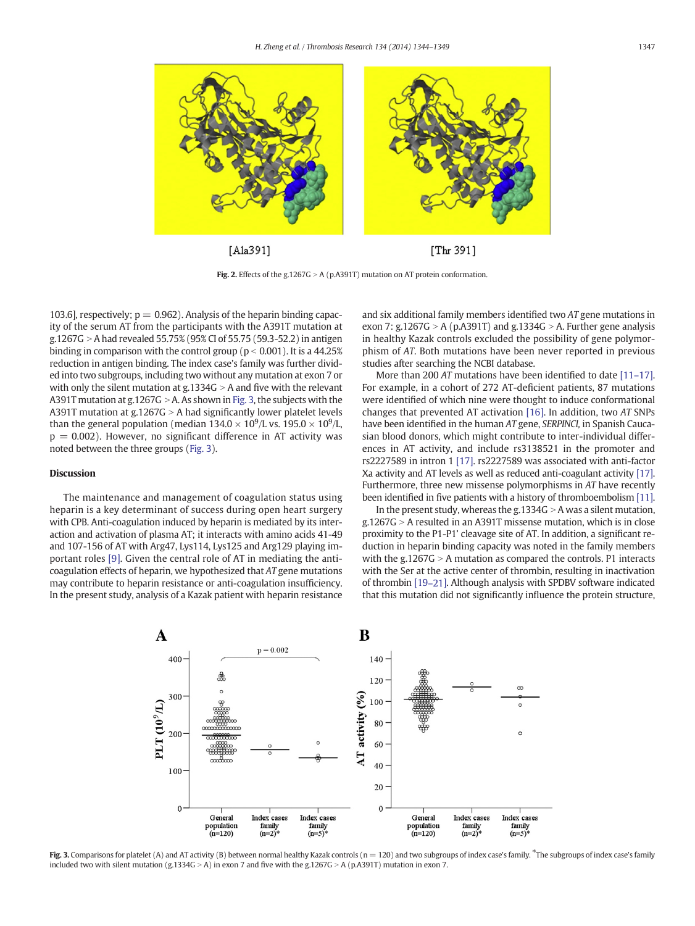<span id="page-3-0"></span>

Fig. 2. Effects of the g.1267G > A (p.A391T) mutation on AT protein conformation.

103.6], respectively;  $p = 0.962$ ). Analysis of the heparin binding capacity of the serum AT from the participants with the A391T mutation at g.1267G  $>$  A had revealed 55.75% (95% CI of 55.75 (59.3-52.2) in antigen binding in comparison with the control group ( $p < 0.001$ ). It is a 44.25% reduction in antigen binding. The index case's family was further divided into two subgroups, including two without any mutation at exon 7 or with only the silent mutation at  $g.1334G > A$  and five with the relevant A391T mutation at g.1267G > A. As shown in Fig. 3, the subjects with the A391T mutation at g.1267G  $> A$  had significantly lower platelet levels than the general population (median 134.0  $\times$  10<sup>9</sup>/L vs. 195.0  $\times$  10<sup>9</sup>/L,  $p = 0.002$ ). However, no significant difference in AT activity was noted between the three groups (Fig. 3).

### Discussion

The maintenance and management of coagulation status using heparin is a key determinant of success during open heart surgery with CPB. Anti-coagulation induced by heparin is mediated by its interaction and activation of plasma AT; it interacts with amino acids 41-49 and 107-156 of AT with Arg47, Lys114, Lys125 and Arg129 playing important roles [\[9\]](#page-4-0). Given the central role of AT in mediating the anticoagulation effects of heparin, we hypothesized that AT gene mutations may contribute to heparin resistance or anti-coagulation insufficiency. In the present study, analysis of a Kazak patient with heparin resistance and six additional family members identified two AT gene mutations in exon 7: g.1267G > A (p.A391T) and g.1334G > A. Further gene analysis in healthy Kazak controls excluded the possibility of gene polymorphism of AT. Both mutations have been never reported in previous studies after searching the NCBI database.

More than 200 AT mutations have been identified to date [11-[17\].](#page-4-0) For example, in a cohort of 272 AT-deficient patients, 87 mutations were identified of which nine were thought to induce conformational changes that prevented AT activation [\[16\]](#page-4-0). In addition, two AT SNPs have been identified in the human AT gene, SERPINCl, in Spanish Caucasian blood donors, which might contribute to inter-individual differences in AT activity, and include rs3138521 in the promoter and rs2227589 in intron 1 [\[17\].](#page-4-0) rs2227589 was associated with anti-factor Xa activity and AT levels as well as reduced anti-coagulant activity [\[17\].](#page-4-0) Furthermore, three new missense polymorphisms in AT have recently been identified in five patients with a history of thromboembolism [\[11\].](#page-4-0)

In the present study, whereas the g.1334G  $>$  A was a silent mutation,  $g.1267G > A$  resulted in an A391T missense mutation, which is in close proximity to the P1-P1' cleavage site of AT. In addition, a significant reduction in heparin binding capacity was noted in the family members with the g.1267 $G > A$  mutation as compared the controls. P1 interacts with the Ser at the active center of thrombin, resulting in inactivation of thrombin [19–[21\].](#page-5-0) Although analysis with SPDBV software indicated that this mutation did not significantly influence the protein structure,



Fig. 3. Comparisons for platelet (A) and AT activity (B) between normal healthy Kazak controls (n = 120) and two subgroups of index case's family. \*The subgroups of index case's family included two with silent mutation (g.1334G > A) in exon 7 and five with the g.1267G > A (p.A391T) mutation in exon 7.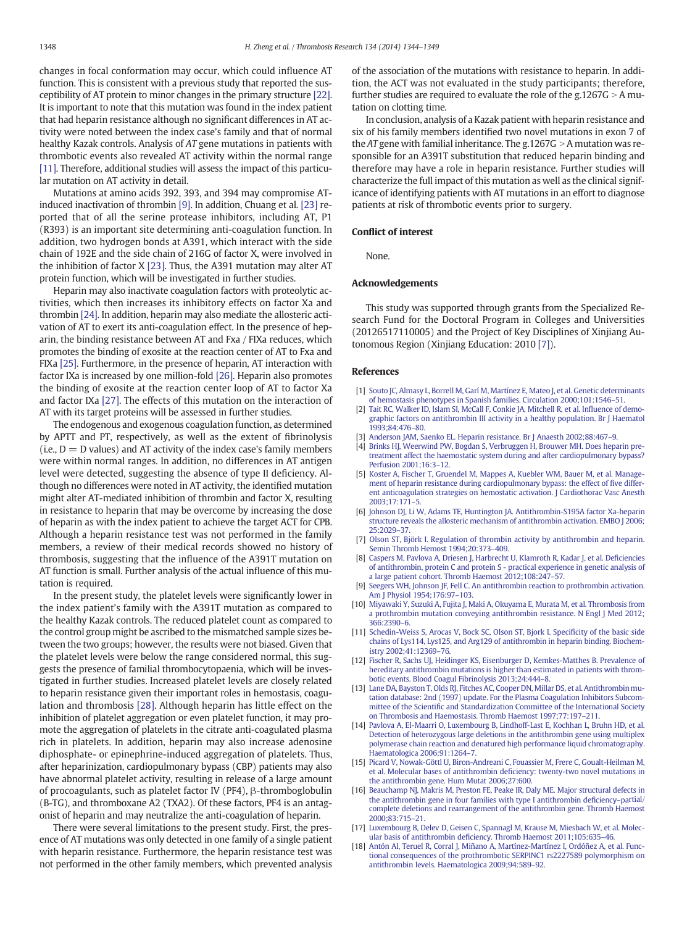<span id="page-4-0"></span>changes in focal conformation may occur, which could influence AT function. This is consistent with a previous study that reported the susceptibility of AT protein to minor changes in the primary structure [\[22\].](#page-5-0) It is important to note that this mutation was found in the index patient that had heparin resistance although no significant differences in AT activity were noted between the index case's family and that of normal healthy Kazak controls. Analysis of AT gene mutations in patients with thrombotic events also revealed AT activity within the normal range [11]. Therefore, additional studies will assess the impact of this particular mutation on AT activity in detail.

Mutations at amino acids 392, 393, and 394 may compromise ATinduced inactivation of thrombin [9]. In addition, Chuang et al. [\[23\]](#page-5-0) reported that of all the serine protease inhibitors, including AT, P1 (R393) is an important site determining anti-coagulation function. In addition, two hydrogen bonds at A391, which interact with the side chain of 192E and the side chain of 216G of factor X, were involved in the inhibition of factor X [\[23\]](#page-5-0). Thus, the A391 mutation may alter AT protein function, which will be investigated in further studies.

Heparin may also inactivate coagulation factors with proteolytic activities, which then increases its inhibitory effects on factor Xa and thrombin [\[24\]](#page-5-0). In addition, heparin may also mediate the allosteric activation of AT to exert its anti-coagulation effect. In the presence of heparin, the binding resistance between AT and Fxa / FIXa reduces, which promotes the binding of exosite at the reaction center of AT to Fxa and FIXa [\[25\].](#page-5-0) Furthermore, in the presence of heparin, AT interaction with factor IXa is increased by one million-fold [\[26\].](#page-5-0) Heparin also promotes the binding of exosite at the reaction center loop of AT to factor Xa and factor IXa [\[27\]](#page-5-0). The effects of this mutation on the interaction of AT with its target proteins will be assessed in further studies.

The endogenous and exogenous coagulation function, as determined by APTT and PT, respectively, as well as the extent of fibrinolysis (i.e.,  $D = D$  values) and AT activity of the index case's family members were within normal ranges. In addition, no differences in AT antigen level were detected, suggesting the absence of type II deficiency. Although no differences were noted in AT activity, the identified mutation might alter AT-mediated inhibition of thrombin and factor X, resulting in resistance to heparin that may be overcome by increasing the dose of heparin as with the index patient to achieve the target ACT for CPB. Although a heparin resistance test was not performed in the family members, a review of their medical records showed no history of thrombosis, suggesting that the influence of the A391T mutation on AT function is small. Further analysis of the actual influence of this mutation is required.

In the present study, the platelet levels were significantly lower in the index patient's family with the A391T mutation as compared to the healthy Kazak controls. The reduced platelet count as compared to the control group might be ascribed to the mismatched sample sizes between the two groups; however, the results were not biased. Given that the platelet levels were below the range considered normal, this suggests the presence of familial thrombocytopaenia, which will be investigated in further studies. Increased platelet levels are closely related to heparin resistance given their important roles in hemostasis, coagulation and thrombosis [\[28\]](#page-5-0). Although heparin has little effect on the inhibition of platelet aggregation or even platelet function, it may promote the aggregation of platelets in the citrate anti-coagulated plasma rich in platelets. In addition, heparin may also increase adenosine diphosphate- or epinephrine-induced aggregation of platelets. Thus, after heparinization, cardiopulmonary bypass (CBP) patients may also have abnormal platelet activity, resulting in release of a large amount of procoagulants, such as platelet factor IV (PF4), β-thromboglobulin (B-TG), and thromboxane A2 (TXA2). Of these factors, PF4 is an antagonist of heparin and may neutralize the anti-coagulation of heparin.

There were several limitations to the present study. First, the presence of AT mutations was only detected in one family of a single patient with heparin resistance. Furthermore, the heparin resistance test was not performed in the other family members, which prevented analysis of the association of the mutations with resistance to heparin. In addition, the ACT was not evaluated in the study participants; therefore, further studies are required to evaluate the role of the g.1267G  $> A$  mutation on clotting time.

In conclusion, analysis of a Kazak patient with heparin resistance and six of his family members identified two novel mutations in exon 7 of the AT gene with familial inheritance. The g.1267G  $>$  A mutation was responsible for an A391T substitution that reduced heparin binding and therefore may have a role in heparin resistance. Further studies will characterize the full impact of this mutation as well as the clinical significance of identifying patients with AT mutations in an effort to diagnose patients at risk of thrombotic events prior to surgery.

#### Conflict of interest

None.

#### Acknowledgements

This study was supported through grants from the Specialized Research Fund for the Doctoral Program in Colleges and Universities (20126517110005) and the Project of Key Disciplines of Xinjiang Autonomous Region (Xinjiang Education: 2010 [7]).

#### References

- [1] [Souto JC, Almasy L, Borrell M, Garí M, Martínez E, Mateo J, et al. Genetic determinants](http://refhub.elsevier.com/S0049-3848(14)00519-2/rf0005) [of hemostasis phenotypes in Spanish families. Circulation 2000;101:1546](http://refhub.elsevier.com/S0049-3848(14)00519-2/rf0005)–51.
- [2] [Tait RC, Walker ID, Islam SI, McCall F, Conkie JA, Mitchell R, et al. In](http://refhub.elsevier.com/S0049-3848(14)00519-2/rf0010)fluence of demo[graphic factors on antithrombin III activity in a healthy population. Br J Haematol](http://refhub.elsevier.com/S0049-3848(14)00519-2/rf0010) [1993;84:476](http://refhub.elsevier.com/S0049-3848(14)00519-2/rf0010)–80.
- [3] [Anderson JAM, Saenko EL. Heparin resistance. Br J Anaesth 2002;88:467](http://refhub.elsevier.com/S0049-3848(14)00519-2/rf0015)–9.
- [4] [Brinks HJ, Weerwind PW, Bogdan S, Verbruggen H, Brouwer MH. Does heparin pre](http://refhub.elsevier.com/S0049-3848(14)00519-2/rf0020)[treatment affect the haemostatic system during and after cardiopulmonary bypass?](http://refhub.elsevier.com/S0049-3848(14)00519-2/rf0020) [Perfusion 2001;16:3](http://refhub.elsevier.com/S0049-3848(14)00519-2/rf0020)–12.
- [5] [Koster A, Fischer T, Gruendel M, Mappes A, Kuebler WM, Bauer M, et al. Manage](http://refhub.elsevier.com/S0049-3848(14)00519-2/rf0025)[ment of heparin resistance during cardiopulmonary bypass: the effect of](http://refhub.elsevier.com/S0049-3848(14)00519-2/rf0025) five differ[ent anticoagulation strategies on hemostatic activation. J Cardiothorac Vasc Anesth](http://refhub.elsevier.com/S0049-3848(14)00519-2/rf0025) [2003;17:171](http://refhub.elsevier.com/S0049-3848(14)00519-2/rf0025)–5.
- [6] [Johnson DJ, Li W, Adams TE, Huntington JA. Antithrombin-S195A factor Xa-heparin](http://refhub.elsevier.com/S0049-3848(14)00519-2/rf0030) [structure reveals the allosteric mechanism of antithrombin activation. EMBO J 2006;](http://refhub.elsevier.com/S0049-3848(14)00519-2/rf0030) [25:2029](http://refhub.elsevier.com/S0049-3848(14)00519-2/rf0030)–37.
- [7] [Olson ST, Björk I. Regulation of thrombin activity by antithrombin and heparin.](http://refhub.elsevier.com/S0049-3848(14)00519-2/rf0035) [Semin Thromb Hemost 1994;20:373](http://refhub.elsevier.com/S0049-3848(14)00519-2/rf0035)–409.
- [8] [Caspers M, Pavlova A, Driesen J, Harbrecht U, Klamroth R, Kadar J, et al. De](http://refhub.elsevier.com/S0049-3848(14)00519-2/rf0040)ficiencies [of antithrombin, protein C and protein S - practical experience in genetic analysis of](http://refhub.elsevier.com/S0049-3848(14)00519-2/rf0040) [a large patient cohort. Thromb Haemost 2012;108:247](http://refhub.elsevier.com/S0049-3848(14)00519-2/rf0040)–57.
- [9] [Seegers WH, Johnson JF, Fell C. An antithrombin reaction to prothrombin activation.](http://refhub.elsevier.com/S0049-3848(14)00519-2/rf0045) [Am J Physiol 1954;176:97](http://refhub.elsevier.com/S0049-3848(14)00519-2/rf0045)–103.
- [10] [Miyawaki Y, Suzuki A, Fujita J, Maki A, Okuyama E, Murata M, et al. Thrombosis from](http://refhub.elsevier.com/S0049-3848(14)00519-2/rf0050) [a prothrombin mutation conveying antithrombin resistance. N Engl J Med 2012;](http://refhub.elsevier.com/S0049-3848(14)00519-2/rf0050) [366:2390](http://refhub.elsevier.com/S0049-3848(14)00519-2/rf0050)–6.
- [11] [Schedin-Weiss S, Arocas V, Bock SC, Olson ST, Bjork I. Speci](http://refhub.elsevier.com/S0049-3848(14)00519-2/rf0060)ficity of the basic side [chains of Lys114, Lys125, and Arg129 of antithrombin in heparin binding. Biochem](http://refhub.elsevier.com/S0049-3848(14)00519-2/rf0060)[istry 2002;41:12369](http://refhub.elsevier.com/S0049-3848(14)00519-2/rf0060)–76.
- [12] [Fischer R, Sachs UJ, Heidinger KS, Eisenburger D, Kemkes-Matthes B. Prevalence of](http://refhub.elsevier.com/S0049-3848(14)00519-2/rf0065) [hereditary antithrombin mutations is higher than estimated in patients with throm](http://refhub.elsevier.com/S0049-3848(14)00519-2/rf0065)[botic events. Blood Coagul Fibrinolysis 2013;24:444](http://refhub.elsevier.com/S0049-3848(14)00519-2/rf0065)–8.
- [13] [Lane DA, Bayston T, Olds RJ, Fitches AC, Cooper DN, Millar DS, et al. Antithrombin mu](http://refhub.elsevier.com/S0049-3848(14)00519-2/rf0070)[tation database: 2nd \(1997\) update. For the Plasma Coagulation Inhibitors Subcom](http://refhub.elsevier.com/S0049-3848(14)00519-2/rf0070)mittee of the Scientifi[c and Standardization Committee of the International Society](http://refhub.elsevier.com/S0049-3848(14)00519-2/rf0070) [on Thrombosis and Haemostasis. Thromb Haemost 1997;77:197](http://refhub.elsevier.com/S0049-3848(14)00519-2/rf0070)–211.
- [14] [Pavlova A, El-Maarri O, Luxembourg B, Lindhoff-Last E, Kochhan L, Bruhn HD, et al.](http://refhub.elsevier.com/S0049-3848(14)00519-2/rf0075) [Detection of heterozygous large deletions in the antithrombin gene using multiplex](http://refhub.elsevier.com/S0049-3848(14)00519-2/rf0075) [polymerase chain reaction and denatured high performance liquid chromatography.](http://refhub.elsevier.com/S0049-3848(14)00519-2/rf0075) [Haematologica 2006;91:1264](http://refhub.elsevier.com/S0049-3848(14)00519-2/rf0075)–7.
- [15] [Picard V, Nowak-Göttl U, Biron-Andreani C, Fouassier M, Frere C, Goualt-Heilman M,](http://refhub.elsevier.com/S0049-3848(14)00519-2/rf0080) [et al. Molecular bases of antithrombin de](http://refhub.elsevier.com/S0049-3848(14)00519-2/rf0080)ficiency: twenty-two novel mutations in [the antithrombin gene. Hum Mutat 2006;27:600.](http://refhub.elsevier.com/S0049-3848(14)00519-2/rf0080)
- [16] Beauchamp NJ, Makris M, Preston FE, Peake IR, Daly ME, Major structural defects in [the antithrombin gene in four families with type I antithrombin de](http://refhub.elsevier.com/S0049-3848(14)00519-2/rf0085)ficiency–partial/ [complete deletions and rearrangement of the antithrombin gene. Thromb Haemost](http://refhub.elsevier.com/S0049-3848(14)00519-2/rf0085) [2000;83:715](http://refhub.elsevier.com/S0049-3848(14)00519-2/rf0085)–21.
- [17] [Luxembourg B, Delev D, Geisen C, Spannagl M, Krause M, Miesbach W, et al. Molec](http://refhub.elsevier.com/S0049-3848(14)00519-2/rf0090)ular basis of antithrombin defi[ciency. Thromb Haemost 2011;105:635](http://refhub.elsevier.com/S0049-3848(14)00519-2/rf0090)–46.
- [18] [Antón AI, Teruel R, Corral J, Miñano A, Martínez-Martínez I, Ordóñez A, et al. Func](http://refhub.elsevier.com/S0049-3848(14)00519-2/rf0095)[tional consequences of the prothrombotic SERPINC1 rs2227589 polymorphism on](http://refhub.elsevier.com/S0049-3848(14)00519-2/rf0095) [antithrombin levels. Haematologica 2009;94:589](http://refhub.elsevier.com/S0049-3848(14)00519-2/rf0095)–92.